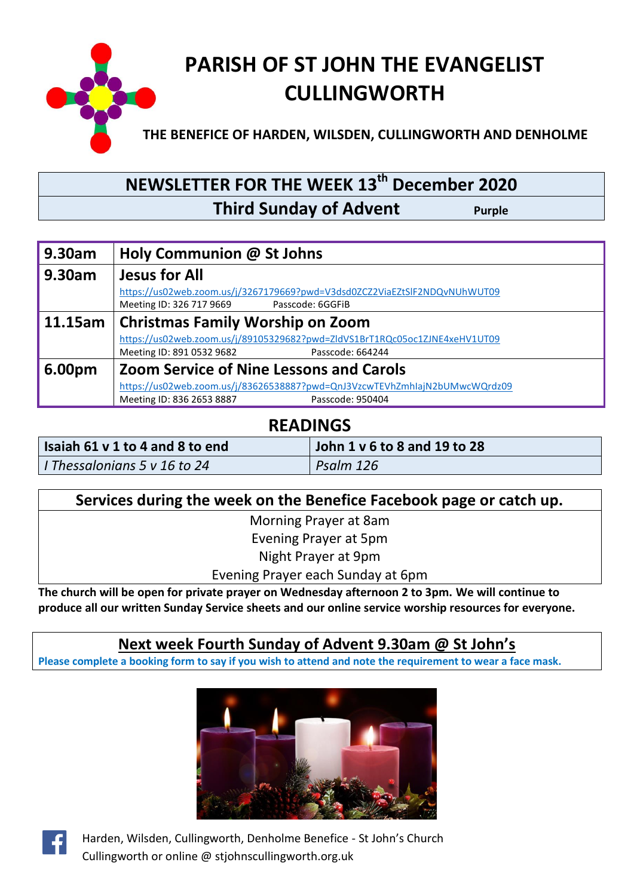

# **NEWSLETTER FOR THE WEEK 13th December 2020 Third Sunday of Advent** Purple

| 9.30am  | Holy Communion @ St Johns                                                  |  |  |  |  |
|---------|----------------------------------------------------------------------------|--|--|--|--|
| 9.30am  | <b>Jesus for All</b>                                                       |  |  |  |  |
|         | https://us02web.zoom.us/j/3267179669?pwd=V3dsd0ZCZ2ViaEZtSlF2NDQvNUhWUT09  |  |  |  |  |
|         | Meeting ID: 326 717 9669<br>Passcode: 6GGFiB                               |  |  |  |  |
| 11.15am | <b>Christmas Family Worship on Zoom</b>                                    |  |  |  |  |
|         | https://us02web.zoom.us/j/89105329682?pwd=ZldVS1BrT1RQc05oc1ZJNE4xeHV1UT09 |  |  |  |  |
|         | Meeting ID: 891 0532 9682<br>Passcode: 664244                              |  |  |  |  |
| 6.00pm  | <b>Zoom Service of Nine Lessons and Carols</b>                             |  |  |  |  |
|         | https://us02web.zoom.us/j/83626538887?pwd=QnJ3VzcwTEVhZmhlajN2bUMwcWQrdz09 |  |  |  |  |
|         | Meeting ID: 836 2653 8887<br>Passcode: 950404                              |  |  |  |  |

### **READINGS**

| Isaiah 61 v 1 to 4 and 8 to end | John 1 v 6 to 8 and 19 to 28 |  |
|---------------------------------|------------------------------|--|
| I Thessalonians 5 v 16 to 24    | Psalm 126                    |  |

| Services during the week on the Benefice Facebook page or catch up. |  |  |  |  |
|---------------------------------------------------------------------|--|--|--|--|
| Morning Prayer at 8am                                               |  |  |  |  |
| Evening Prayer at 5pm                                               |  |  |  |  |
| Night Prayer at 9pm                                                 |  |  |  |  |
| Evening Prayer each Sunday at 6pm                                   |  |  |  |  |

**The church will be open for private prayer on Wednesday afternoon 2 to 3pm. We will continue to produce all our written Sunday Service sheets and our online service worship resources for everyone.** 

#### **Next week Fourth Sunday of Advent 9.30am @ St John's**

**Please complete a booking form to say if you wish to attend and note the requirement to wear a face mask.**





Harden, Wilsden, Cullingworth, Denholme Benefice - St John's Church Cullingworth or online @ stjohnscullingworth.org.uk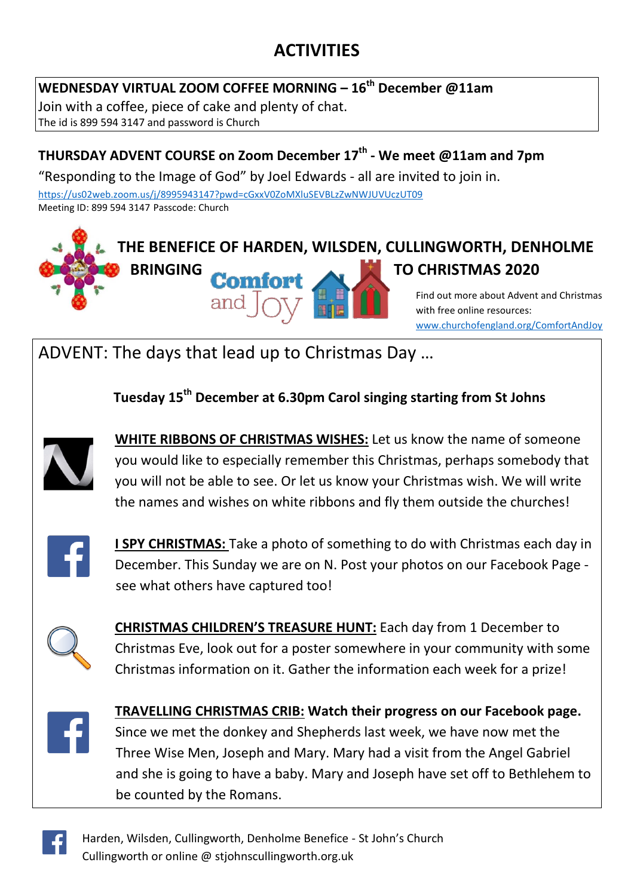# **ACTIVITIES**

#### **WEDNESDAY VIRTUAL ZOOM COFFEE MORNING – 16th December @11am**

Join with a coffee, piece of cake and plenty of chat. The id is 899 594 3147 and password is Church

#### **THURSDAY ADVENT COURSE on Zoom December 17th - We meet @11am and 7pm**

"Responding to the Image of God" by Joel Edwards - all are invited to join in.

<https://us02web.zoom.us/j/8995943147?pwd=cGxxV0ZoMXluSEVBLzZwNWJUVUczUT09> Meeting ID: 899 594 3147 Passcode: Church



[www.churchofengland.org/ComfortAndJoy](http://www.churchofengland.org/ComfortAndJoy)

ADVENT: The days that lead up to Christmas Day …

 **Tuesday 15th December at 6.30pm Carol singing starting from St Johns** 



**WHITE RIBBONS OF CHRISTMAS WISHES:** Let us know the name of someone you would like to especially remember this Christmas, perhaps somebody that you will not be able to see. Or let us know your Christmas wish. We will write the names and wishes on white ribbons and fly them outside the churches!



**I SPY CHRISTMAS:** Take a photo of something to do with Christmas each day in December. This Sunday we are on N. Post your photos on our Facebook Page see what others have captured too!



**CHRISTMAS CHILDREN'S TREASURE HUNT:** Each day from 1 December to Christmas Eve, look out for a poster somewhere in your community with some Christmas information on it. Gather the information each week for a prize!



**TRAVELLING CHRISTMAS CRIB: Watch their progress on our Facebook page.** Since we met the donkey and Shepherds last week, we have now met the Three Wise Men, Joseph and Mary. Mary had a visit from the Angel Gabriel and she is going to have a baby. Mary and Joseph have set off to Bethlehem to be counted by the Romans.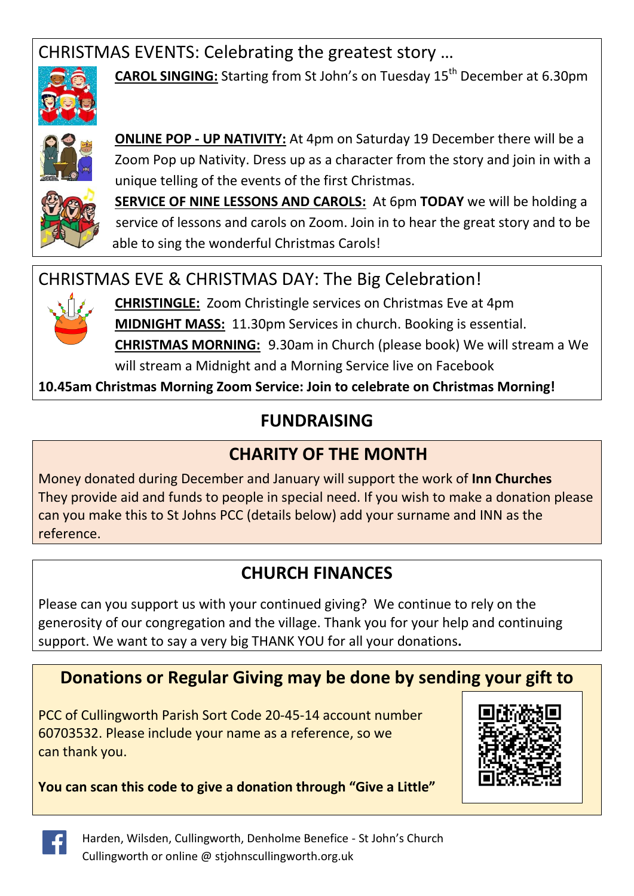# CHRISTMAS EVENTS: Celebrating the greatest story …



**CAROL SINGING:** Starting from St John's on Tuesday 15<sup>th</sup> December at 6.30pm



**ONLINE POP - UP NATIVITY:** At 4pm on Saturday 19 December there will be a Zoom Pop up Nativity. Dress up as a character from the story and join in with a unique telling of the events of the first Christmas.



**SERVICE OF NINE LESSONS AND CAROLS:** At 6pm **TODAY** we will be holding a service of lessons and carols on Zoom. Join in to hear the great story and to be able to sing the wonderful Christmas Carols!

### CHRISTMAS EVE & CHRISTMAS DAY: The Big Celebration!



**CHRISTINGLE:** Zoom Christingle services on Christmas Eve at 4pm **MIDNIGHT MASS:** 11.30pm Services in church. Booking is essential. **CHRISTMAS MORNING:** 9.30am in Church (please book) We will stream a We will stream a Midnight and a Morning Service live on Facebook

**10.45am Christmas Morning Zoom Service: Join to celebrate on Christmas Morning!**

# **FUNDRAISING**

# **CHARITY OF THE MONTH**

Money donated during December and January will support the work of **Inn Churches** They provide aid and funds to people in special need. If you wish to make a donation please can you make this to St Johns PCC (details below) add your surname and INN as the reference.

# **CHURCH FINANCES**

Please can you support us with your continued giving? We continue to rely on the generosity of our congregation and the village. Thank you for your help and continuing support. We want to say a very big THANK YOU for all your donations**.**

## **Donations or Regular Giving may be done by sending your gift to**

PCC of Cullingworth Parish Sort Code 20-45-14 account number 60703532. Please include your name as a reference, so we can thank you.





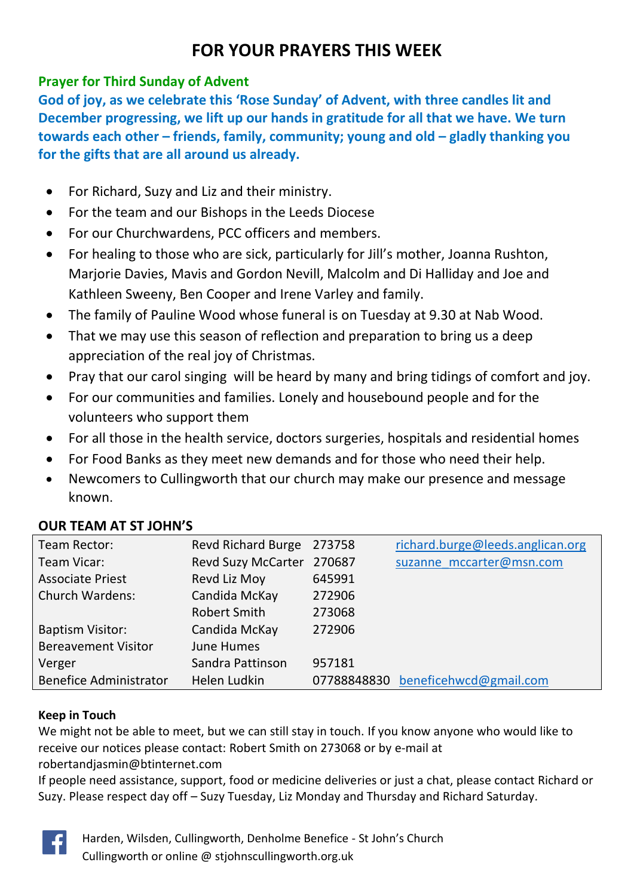## **FOR YOUR PRAYERS THIS WEEK**

#### **Prayer for Third Sunday of Advent**

**God of joy, as we celebrate this 'Rose Sunday' of Advent, with three candles lit and December progressing, we lift up our hands in gratitude for all that we have. We turn towards each other – friends, family, community; young and old – gladly thanking you for the gifts that are all around us already.**

- For Richard, Suzy and Liz and their ministry.
- For the team and our Bishops in the Leeds Diocese
- For our Churchwardens, PCC officers and members.
- For healing to those who are sick, particularly for Jill's mother, Joanna Rushton, Marjorie Davies, Mavis and Gordon Nevill, Malcolm and Di Halliday and Joe and Kathleen Sweeny, Ben Cooper and Irene Varley and family.
- The family of Pauline Wood whose funeral is on Tuesday at 9.30 at Nab Wood.
- That we may use this season of reflection and preparation to bring us a deep appreciation of the real joy of Christmas.
- Pray that our carol singing will be heard by many and bring tidings of comfort and joy.
- For our communities and families. Lonely and housebound people and for the volunteers who support them
- For all those in the health service, doctors surgeries, hospitals and residential homes
- For Food Banks as they meet new demands and for those who need their help.
- Newcomers to Cullingworth that our church may make our presence and message known.

#### **OUR TEAM AT ST JOHN'S**

| Team Rector:                  | <b>Revd Richard Burge</b> | 273758 | richard.burge@leeds.anglican.org   |
|-------------------------------|---------------------------|--------|------------------------------------|
| Team Vicar:                   | <b>Revd Suzy McCarter</b> | 270687 | suzanne mccarter@msn.com           |
| <b>Associate Priest</b>       | Revd Liz Moy              | 645991 |                                    |
| <b>Church Wardens:</b>        | Candida McKay             | 272906 |                                    |
|                               | Robert Smith              | 273068 |                                    |
| <b>Baptism Visitor:</b>       | Candida McKay             | 272906 |                                    |
| <b>Bereavement Visitor</b>    | June Humes                |        |                                    |
| Verger                        | Sandra Pattinson          | 957181 |                                    |
| <b>Benefice Administrator</b> | Helen Ludkin              |        | 07788848830 beneficehwcd@gmail.com |

#### **Keep in Touch**

We might not be able to meet, but we can still stay in touch. If you know anyone who would like to receive our notices please contact: Robert Smith on 273068 or by e-mail at [robertandjasmin@btinternet.com](mailto:robertandjasmin@btinternet.com)

If people need assistance, support, food or medicine deliveries or just a chat, please contact Richard or Suzy. Please respect day off – Suzy Tuesday, Liz Monday and Thursday and Richard Saturday.



Harden, Wilsden, Cullingworth, Denholme Benefice - St John's Church Cullingworth or online @ stjohnscullingworth.org.uk